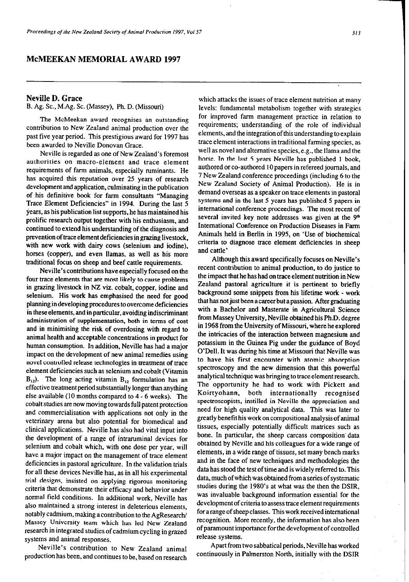## **McMEEKAN MEMORIAL AWARD 1997**

## **Neville D. Grace**

B. Ag. SC., M.Ag. SC. (Massey), Ph. D. (Missouri)

The McMeekan award recognises an outstanding contribution to New Zealand animal production over the past five year period. This prestigious award for 1997 has been awarded to Neville Donovan Grace.

Neville is regarded as one of New Zealand's foremost authorities on macro-element and trace element requirements of farm animals, especially ruminants. He has acquired this reputation over 25 years of research development and application, culminating in the publication of his definitive book for farm consultants "Managing Trace Element Deficiencies" in 1994. During the last 5 years, as his publication list suppats, he has maintained his prolific research output together with his enthusiasm, and continued to extend his understanding of the diagnosis and prevention of trace element deficiencies in grazing livestock, with new work with dairy cows (selenium and iodine), horses (copper), and even llamas, as well as his more traditional focus on sheep and beef cattle requirements.

Neville's contributions have especially focused on the four trace elements that are most likely to cause problems in grazing livestock in NZ viz. cobalt, copper, iodine and selenium. His work has emphasised the need for good planning indeveloping procedures to overcome deficiencies in these elements, and in **particular,** avoiding indisctiminant administration of supplementation, both in terms of cost and in minimising the risk of overdosing with regard to animal health and acceptable concentrations in product fot human consumption. In addition, Neville has had a major impact on the development of new animal remedies using novel controlled release technologies in treatment of trace element deficiencies such as selenium and cobalt (Vitamin  $B_{12}$ ). The long acting vitamin  $B_{12}$  formulation has an effective **treatment** period substantially longerthan anything else available (IO months compared to 4 - 6 weeks). The cobalt studies are now moving towards full patent protection and commercialisation with applications not only in the veterinary arena but also potential for biomedical and clinical applications. Neville has also had vital input into the development of a range of intramminal devices for selenium and cobalt which. with one dose per year, will have a major impact on the management of trace element deficiencies in pastoral agriculture. In the validation trials for all these devices Neville has, as in all his experimental trial designs, insisted on applying rigorous monitoring criteria that demonstrate their efficacy and behavior under normal field conditions. In additional work, Neville has also maintained a strong interest in deleterious elements, notably cadmium, making a contribution to the AgResearch/ Massey University team which has led New Zealand research in integrated studies of cadmium cycling in grazed systems and animal responses.

Neville's contribution to New Zealand animal production has been, and continues to be, based on research

which attacks the issues of trace element nutrition at many levels: fundamental metabolism together with strategies for improved farm management practice in relation to requirements; understanding of the role of individual elements, and the integration of this understanding toexplain trace element interactions in traditional farming species, as well as novel and alternative species, e.g., the llama and the horse. In the last 5 years Neville has published 1 book, authored or co-authored IO papers in refereed journals, and 7 New Zealand conference proceedings (including 6 to the New Zealand Society of Animal Production). He is in demand overseas as a speaker on trace elements in pastoral systems and in the last 5 years has published 5 papers in international conference proceedings. The most recent of several invited key note addresses was given at the 9<sup>th</sup> International Conference on Production Diseases in Farm Animals held in Berlin in 1995, on 'Use of biochemical criteria to diagnose trace element deficiencies in sheep and cattle'

Although this award specifically focuses on Neville's recent contribution to animal production, to do justice to the impact that he has had on trace element nutrition in New Zealand pastoral agriculture it is pertinent to briefly background some snippets from his lifetime work - work that has not just been a career but a passion. After graduating with a Bachelor and Masterate in Agricultural Science from Massey University. Neville obtained his Ph.D. degree in 1968 from the University of Missouri, where he explored the intricacies of the interaction between magnesium and potassium in the Guinea Pig under the guidance of Boyd O'Dell. It was during his time at Missouri that Neville was to have his first encounter with atomic absorption spectroscopy and the new dimension that this powerful analytical technique was bringing to trace element research. The opportunity he had to work with Pickett and Koirtyohann, both internationally recognised spectroscopists, instilled in Neville the appreciation and need for high quality analytical data. This was later to greatly benefit his work on compositional analysis of animal tissues, especially potentially difficult matrices such as bone. In particular, the sheep carcass composition data obtained by Neville **and** his colleagues for a wide range of elements, in a wide range of tissues, set many bench marks and in the face of new techniques and methodologies the data has stood the test of time and is widely referred to. This data, much of which was obtained from a series of systematic studies during the 1980's at what was the then the DSIR, was invaluable background information essential for the development of criteria to assess trace element requirements forarangeofsheepclasses. This workreceived international recognition. More recently, the information has also been of paramount importance for the development of controlled release systems.

**Apart from** two sabbatical periods, Neville has worked continuously in Palmerston North, initially with the DSIR